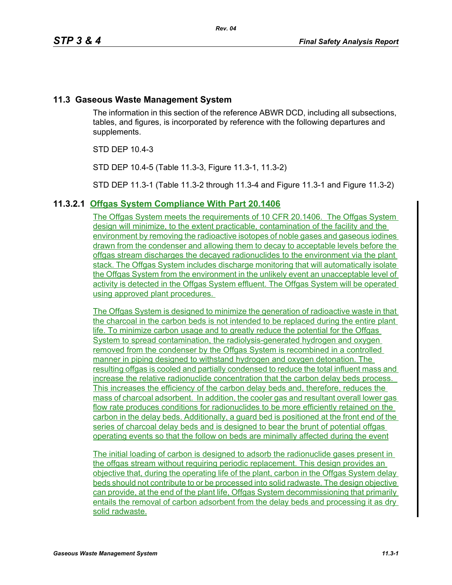# **11.3 Gaseous Waste Management System**

The information in this section of the reference ABWR DCD, including all subsections, tables, and figures, is incorporated by reference with the following departures and supplements.

STD DEP 10.4-3

STD DEP 10.4-5 (Table 11.3-3, Figure 11.3-1, 11.3-2)

STD DEP 11.3-1 (Table 11.3-2 through 11.3-4 and Figure 11.3-1 and Figure 11.3-2)

# **11.3.2.1 Offgas System Compliance With Part 20.1406**

The Offgas System meets the requirements of 10 CFR 20.1406. The Offgas System design will minimize, to the extent practicable, contamination of the facility and the environment by removing the radioactive isotopes of noble gases and gaseous iodines drawn from the condenser and allowing them to decay to acceptable levels before the offgas stream discharges the decayed radionuclides to the environment via the plant stack. The Offgas System includes discharge monitoring that will automatically isolate the Offgas System from the environment in the unlikely event an unacceptable level of activity is detected in the Offgas System effluent. The Offgas System will be operated using approved plant procedures.

The Offgas System is designed to minimize the generation of radioactive waste in that the charcoal in the carbon beds is not intended to be replaced during the entire plant life. To minimize carbon usage and to greatly reduce the potential for the Offgas System to spread contamination, the radiolysis-generated hydrogen and oxygen removed from the condenser by the Offgas System is recombined in a controlled manner in piping designed to withstand hydrogen and oxygen detonation. The resulting offgas is cooled and partially condensed to reduce the total influent mass and increase the relative radionuclide concentration that the carbon delay beds process. This increases the efficiency of the carbon delay beds and, therefore, reduces the mass of charcoal adsorbent. In addition, the cooler gas and resultant overall lower gas flow rate produces conditions for radionuclides to be more efficiently retained on the carbon in the delay beds. Additionally, a guard bed is positioned at the front end of the series of charcoal delay beds and is designed to bear the brunt of potential offgas operating events so that the follow on beds are minimally affected during the event

The initial loading of carbon is designed to adsorb the radionuclide gases present in the offgas stream without requiring periodic replacement. This design provides an objective that, during the operating life of the plant, carbon in the Offgas System delay beds should not contribute to or be processed into solid radwaste. The design objective can provide, at the end of the plant life, Offgas System decommissioning that primarily entails the removal of carbon adsorbent from the delay beds and processing it as dry solid radwaste.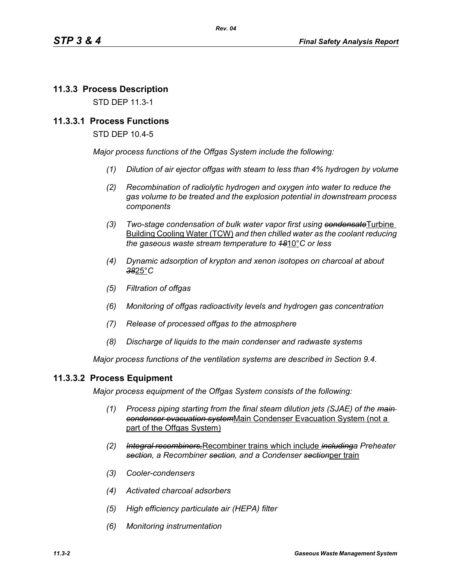# **11.3.3 Process Description**

STD DEP 11.3-1

## **11.3.3.1 Process Functions**

STD DEP 10.4-5

*Major process functions of the Offgas System include the following:*

- *(1) Dilution of air ejector offgas with steam to less than 4% hydrogen by volume*
- *(2) Recombination of radiolytic hydrogen and oxygen into water to reduce the gas volume to be treated and the explosion potential in downstream process components*
- *(3) Two-stage condensation of bulk water vapor first using condensate*Turbine Building Cooling Water (TCW) *and then chilled water as the coolant reducing the gaseous waste stream temperature to 18*10°*C or less*
- *(4) Dynamic adsorption of krypton and xenon isotopes on charcoal at about 38*25°*C*
- *(5) Filtration of offgas*
- *(6) Monitoring of offgas radioactivity levels and hydrogen gas concentration*
- *(7) Release of processed offgas to the atmosphere*
- *(8) Discharge of liquids to the main condenser and radwaste systems*

*Major process functions of the ventilation systems are described in Section 9.4.*

#### **11.3.3.2 Process Equipment**

*Major process equipment of the Offgas System consists of the following:*

- *(1) Process piping starting from the final steam dilution jets (SJAE) of the main condenser evacuation system*Main Condenser Evacuation System (not a part of the Offgas System)
- *(2) Integral recombiners,*Recombiner trains which include *includinga Preheater section, a Recombiner section, and a Condenser section*per train
- *(3) Cooler-condensers*
- *(4) Activated charcoal adsorbers*
- *(5) High efficiency particulate air (HEPA) filter*
- *(6) Monitoring instrumentation*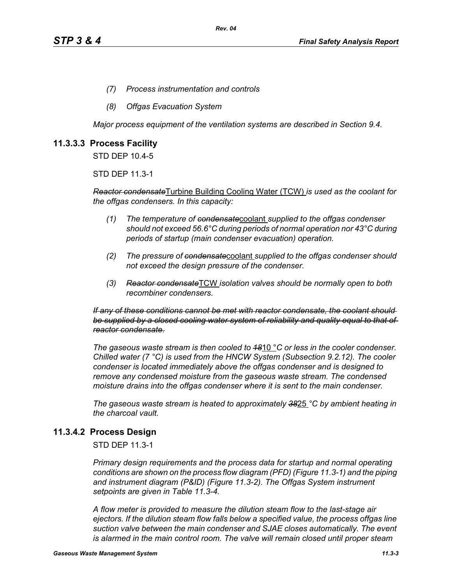- *(7) Process instrumentation and controls*
- *(8) Offgas Evacuation System*

*Major process equipment of the ventilation systems are described in Section 9.4.*

# **11.3.3.3 Process Facility**

STD DEP 10.4-5

STD DEP 11.3-1

*Reactor condensate*Turbine Building Cooling Water (TCW) *is used as the coolant for the offgas condensers. In this capacity:*

- *(1) The temperature of condensate*coolant *supplied to the offgas condenser should not exceed 56.6°C during periods of normal operation nor 43°C during periods of startup (main condenser evacuation) operation.*
- *(2) The pressure of condensate*coolant *supplied to the offgas condenser should not exceed the design pressure of the condenser.*
- *(3) Reactor condensate*TCW *isolation valves should be normally open to both recombiner condensers.*

*If any of these conditions cannot be met with reactor condensate, the coolant should be supplied by a closed cooling water system of reliability and quality equal to that of reactor condensate.*

*The gaseous waste stream is then cooled to 18*10 °*C or less in the cooler condenser. Chilled water (7 °C) is used from the HNCW System (Subsection 9.2.12). The cooler condenser is located immediately above the offgas condenser and is designed to remove any condensed moisture from the gaseous waste stream. The condensed moisture drains into the offgas condenser where it is sent to the main condenser.*

*The gaseous waste stream is heated to approximately 38*25 *°C by ambient heating in the charcoal vault.*

# **11.3.4.2 Process Design**

STD DEP 11.3-1

*Primary design requirements and the process data for startup and normal operating conditions are shown on the process flow diagram (PFD) (Figure 11.3-1) and the piping and instrument diagram (P&ID) (Figure 11.3-2). The Offgas System instrument setpoints are given in Table 11.3-4.*

*A flow meter is provided to measure the dilution steam flow to the last-stage air ejectors. If the dilution steam flow falls below a specified value, the process offgas line suction valve between the main condenser and SJAE closes automatically. The event*  is alarmed in the main control room. The valve will remain closed until proper steam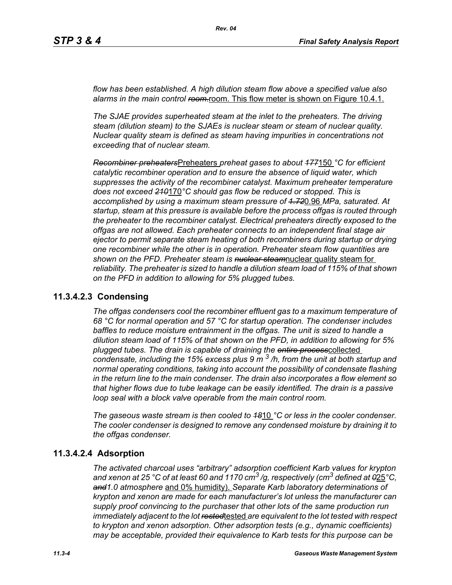*flow has been established. A high dilution steam flow above a specified value also*  alarms in the main control ream-room. This flow meter is shown on Figure 10.4.1.

*The SJAE provides superheated steam at the inlet to the preheaters. The driving steam (dilution steam) to the SJAEs is nuclear steam or steam of nuclear quality. Nuclear quality steam is defined as steam having impurities in concentrations not exceeding that of nuclear steam.*

*Recombiner preheaters*Preheaters *preheat gases to about 177*150 *°C for efficient catalytic recombiner operation and to ensure the absence of liquid water, which suppresses the activity of the recombiner catalyst. Maximum preheater temperature does not exceed 210*170*°C should gas flow be reduced or stopped. This is accomplished by using a maximum steam pressure of 1.72*0.96 *MPa, saturated. At startup, steam at this pressure is available before the process offgas is routed through the preheater to the recombiner catalyst. Electrical preheaters directly exposed to the offgas are not allowed. Each preheater connects to an independent final stage air ejector to permit separate steam heating of both recombiners during startup or drying one recombiner while the other is in operation. Preheater steam flow quantities are shown on the PFD. Preheater steam is nuclear steam*nuclear quality steam for *reliability. The preheater is sized to handle a dilution steam load of 115% of that shown on the PFD in addition to allowing for 5% plugged tubes.*

#### **11.3.4.2.3 Condensing**

*The offgas condensers cool the recombiner effluent gas to a maximum temperature of 68 °C for normal operation and 57 °C for startup operation. The condenser includes baffles to reduce moisture entrainment in the offgas. The unit is sized to handle a dilution steam load of 115% of that shown on the PFD, in addition to allowing for 5% plugged tubes. The drain is capable of draining the entire process*collected *condensate, including the 15% excess plus 9 m 3 /h, from the unit at both startup and normal operating conditions, taking into account the possibility of condensate flashing in the return line to the main condenser. The drain also incorporates a flow element so that higher flows due to tube leakage can be easily identified. The drain is a passive loop seal with a block valve operable from the main control room.* 

*The gaseous waste stream is then cooled to 18*10 *°C or less in the cooler condenser. The cooler condenser is designed to remove any condensed moisture by draining it to the offgas condenser.*

#### **11.3.4.2.4 Adsorption**

*The activated charcoal uses "arbitrary" adsorption coefficient Karb values for krypton and xenon at 25 °C of at least 60 and 1170 cm3 /g, respectively (cm3 defined at 0*25*°C, and1.0 atmosphere* and 0% humidity). *Separate Karb laboratory determinations of krypton and xenon are made for each manufacturer's lot unless the manufacturer can supply proof convincing to the purchaser that other lots of the same production run immediately adjacent to the lot rested*tested *are equivalent to the lot tested with respect to krypton and xenon adsorption. Other adsorption tests (e.g., dynamic coefficients) may be acceptable, provided their equivalence to Karb tests for this purpose can be*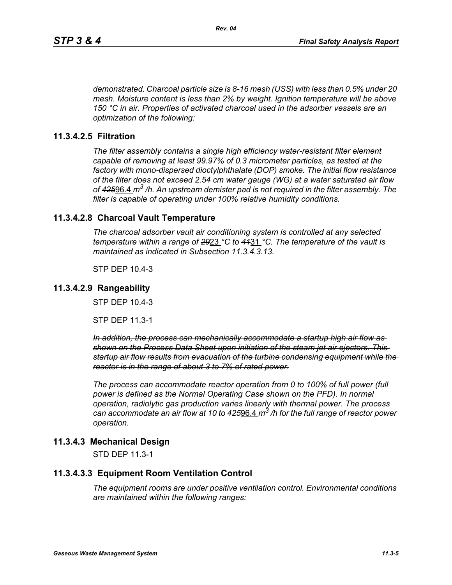*demonstrated. Charcoal particle size is 8-16 mesh (USS) with less than 0.5% under 20 mesh. Moisture content is less than 2% by weight. Ignition temperature will be above 150 °C in air. Properties of activated charcoal used in the adsorber vessels are an optimization of the following:*

# **11.3.4.2.5 Filtration**

*The filter assembly contains a single high efficiency water-resistant filter element capable of removing at least 99.97% of 0.3 micrometer particles, as tested at the factory with mono-dispersed dioctylphthalate (DOP) smoke. The initial flow resistance of the filter does not exceed 2.54 cm water gauge (WG) at a water saturated air flow of 425*96.4 *m3 /h. An upstream demister pad is not required in the filter assembly. The filter is capable of operating under 100% relative humidity conditions.*

## **11.3.4.2.8 Charcoal Vault Temperature**

*The charcoal adsorber vault air conditioning system is controlled at any selected temperature within a range of 29*23 *°C to 41*31 *°C. The temperature of the vault is maintained as indicated in Subsection 11.3.4.3.13.*

STP DEP 10.4-3

#### **11.3.4.2.9 Rangeability**

STP DEP 10.4-3

STP DEP 11.3-1

*In addition, the process can mechanically accommodate a startup high air flow as shown on the Process Data Sheet upon initiation of the steam jet air ejectors. This startup air flow results from evacuation of the turbine condensing equipment while the reactor is in the range of about 3 to 7% of rated power.*

*The process can accommodate reactor operation from 0 to 100% of full power (full power is defined as the Normal Operating Case shown on the PFD). In normal operation, radiolytic gas production varies linearly with thermal power. The process can accommodate an air flow at 10 to 425*96.4 *m3 /h for the full range of reactor power operation.*

# **11.3.4.3 Mechanical Design**

STD DEP 11.3-1

#### **11.3.4.3.3 Equipment Room Ventilation Control**

*The equipment rooms are under positive ventilation control. Environmental conditions are maintained within the following ranges:*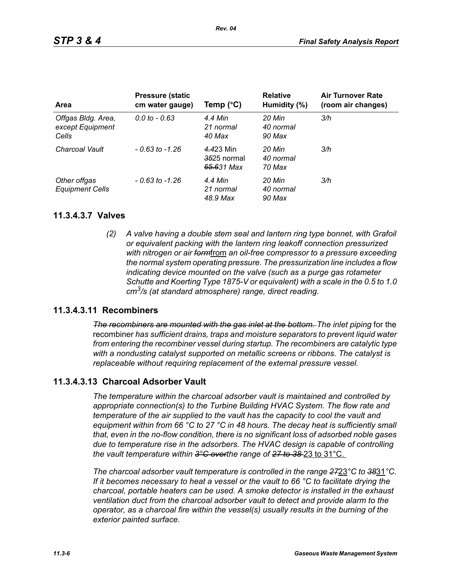| <b>Area</b>                                     | <b>Pressure (static</b><br>cm water gauge) | Temp $(^{\circ}C)$                     | <b>Relative</b><br>Humidity (%) | <b>Air Turnover Rate</b><br>(room air changes) |
|-------------------------------------------------|--------------------------------------------|----------------------------------------|---------------------------------|------------------------------------------------|
| Offgas Bldg. Area,<br>except Equipment<br>Cells | $0.0 \text{ to } -0.63$                    | 4.4 Min<br>21 normal<br>40 Max         | 20 Min<br>40 normal<br>90 Max   | 3/h                                            |
| Charcoal Vault                                  | $-0.63$ to $-1.26$                         | 4.423 Min<br>3525 normal<br>65.631 Max | 20 Min<br>40 normal<br>70 Max   | 3/h                                            |
| Other offgas<br><b>Equipment Cells</b>          | $-0.63$ to $-1.26$                         | 4.4 Min<br>21 normal<br>48.9 Max       | 20 Min<br>40 normal<br>90 Max   | 3/h                                            |

#### **11.3.4.3.7 Valves**

*(2) A valve having a double stem seal and lantern ring type bonnet, with Grafoil or equivalent packing with the lantern ring leakoff connection pressurized with nitrogen or air form*from *an oil-free compressor to a pressure exceeding the normal system operating pressure. The pressurization line includes a flow indicating device mounted on the valve (such as a purge gas rotameter Schutte and Koerting Type 1875-V or equivalent) with a scale in the 0.5 to 1.0 cm3/s (at standard atmosphere) range, direct reading.*

### **11.3.4.3.11 Recombiners**

*The recombiners are mounted with the gas inlet at the bottom. The inlet piping for the* recombiner *has sufficient drains, traps and moisture separators to prevent liquid water from entering the recombiner vessel during startup. The recombiners are catalytic type with a nondusting catalyst supported on metallic screens or ribbons. The catalyst is replaceable without requiring replacement of the external pressure vessel.*

# **11.3.4.3.13 Charcoal Adsorber Vault**

*The temperature within the charcoal adsorber vault is maintained and controlled by appropriate connection(s) to the Turbine Building HVAC System. The flow rate and temperature of the air supplied to the vault has the capacity to cool the vault and equipment within from 66 °C to 27 °C in 48 hours. The decay heat is sufficiently small that, even in the no-flow condition, there is no significant loss of adsorbed noble gases due to temperature rise in the adsorbers. The HVAC design is capable of controlling the vault temperature within 3°C overthe range of 27 to 38* 23 to 31°C.

*The charcoal adsorber vault temperature is controlled in the range 27*23*°C to 38*31*°C. If it becomes necessary to heat a vessel or the vault to 66 °C to facilitate drying the charcoal, portable heaters can be used. A smoke detector is installed in the exhaust ventilation duct from the charcoal adsorber vault to detect and provide alarm to the operator, as a charcoal fire within the vessel(s) usually results in the burning of the exterior painted surface.*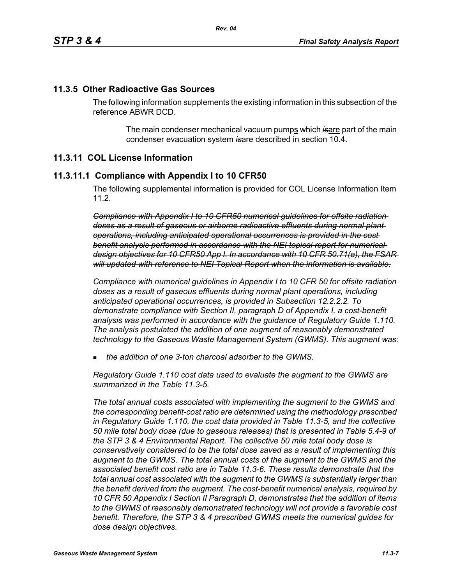#### **11.3.5 Other Radioactive Gas Sources**

The following information supplements the existing information in this subsection of the reference ABWR DCD.

> The main condenser mechanical vacuum pumps which is are part of the main condenser evacuation system *is*are described in section 10.4.

#### **11.3.11 COL License Information**

#### **11.3.11.1 Compliance with Appendix I to 10 CFR50**

The following supplemental information is provided for COL License Information Item 11.2.

*Compliance with Appendix I to 10 CFR50 numerical guidelines for offsite radiation doses as a result of gaseous or airborne radioactive effluents during normal plant operations, including anticipated operational occurrences is provided in the cost benefit analysis performed in accordance with the NEI topical report for numerical design objectives for 10 CFR50 App I. In accordance with 10 CFR 50.71(e), the FSAR will updated with reference to NEI Topical Report when the information is available.*

*Compliance with numerical guidelines in Appendix I to 10 CFR 50 for offsite radiation doses as a result of gaseous effluents during normal plant operations, including anticipated operational occurrences, is provided in Subsection 12.2.2.2. To demonstrate compliance with Section II, paragraph D of Appendix I, a cost-benefit analysis was performed in accordance with the guidance of Regulatory Guide 1.110. The analysis postulated the addition of one augment of reasonably demonstrated technology to the Gaseous Waste Management System (GWMS). This augment was:*

*the addition of one 3-ton charcoal adsorber to the GWMS.*

*Regulatory Guide 1.110 cost data used to evaluate the augment to the GWMS are summarized in the Table 11.3-5.* 

*The total annual costs associated with implementing the augment to the GWMS and the corresponding benefit-cost ratio are determined using the methodology prescribed in Regulatory Guide 1.110, the cost data provided in Table 11.3-5, and the collective 50 mile total body dose (due to gaseous releases) that is presented in Table 5.4-9 of the STP 3 & 4 Environmental Report. The collective 50 mile total body dose is conservatively considered to be the total dose saved as a result of implementing this augment to the GWMS. The total annual costs of the augment to the GWMS and the associated benefit cost ratio are in Table 11.3-6. These results demonstrate that the total annual cost associated with the augment to the GWMS is substantially larger than the benefit derived from the augment. The cost-benefit numerical analysis, required by 10 CFR 50 Appendix I Section II Paragraph D, demonstrates that the addition of items to the GWMS of reasonably demonstrated technology will not provide a favorable cost benefit. Therefore, the STP 3 & 4 prescribed GWMS meets the numerical guides for dose design objectives.*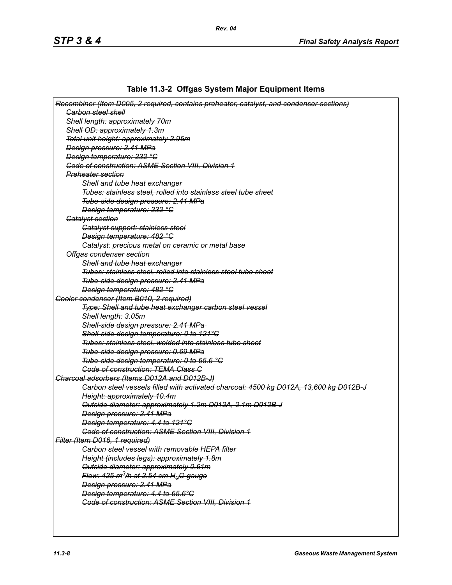# **Table 11.3-2 Offgas System Major Equipment Items**

| Recombiner (Item D005, 2 required, contains preheater, catalyst, and condenser sections)        |
|-------------------------------------------------------------------------------------------------|
| <b>Garbon steel shell</b>                                                                       |
| Shell length: approximately 70m                                                                 |
| Shell OD: approximately 1.3m                                                                    |
| Total unit height: approximately 2.95m                                                          |
| Design pressure: 2.41 MPa                                                                       |
| Design temperature: 232 °C                                                                      |
| <b>Code of construction: ASME Section VIII, Division 1</b>                                      |
| <b>Preheater section</b>                                                                        |
| Shell and tube heat exchanger                                                                   |
| Tubes: stainless steel, rolled into stainless steel tube sheet                                  |
| Tube-side design pressure: 2.41 MPa                                                             |
| Design temperature: 232 °C                                                                      |
| <b>Gatalyst section</b>                                                                         |
| <b>Catalyst support: stainless steel</b>                                                        |
| Design temperature: 482 °C                                                                      |
| Catalyst: precious metal on ceramic or metal base                                               |
| Offgas condenser section                                                                        |
| Shell and tube heat exchanger                                                                   |
| Tubes: stainless steel, rolled into stainless steel tube sheet                                  |
| Tube-side design pressure: 2.41 MPa                                                             |
| Design temperature: 482 °C                                                                      |
| Gooler condenser (Item B010, 2 required)                                                        |
| Type: Shell and tube heat exchanger carbon steel vessel                                         |
| Shell length: 3.05m                                                                             |
| Shell-side design pressure: 2.41 MPa-                                                           |
| Shell-side design temperature: 0 to 121°C                                                       |
| Tubes: stainless steel, welded into stainless tube sheet                                        |
| Tube-side design pressure: 0.69 MPa                                                             |
| Tube-side design temperature: 0 to 65.6 °C                                                      |
| <b>Code of construction: TEMA Class C</b>                                                       |
| Charcoal adsorbers (Items D012A and D012B-J)                                                    |
| Carbon steel vessels filled with activated charcoal: 4500 kg D012A, 13,600 kg D012B-J           |
| Height: approximately 10.4m                                                                     |
| Outside diameter: approximately 1.2m D012A, 2.1m D012B-J                                        |
| Design pressure: 2.41 MPa                                                                       |
| Design temperature: 4.4 to 121°C                                                                |
| <b>Code of construction: ASME Section VIII, Division 1</b>                                      |
| Filter (Item D016, 1 required)                                                                  |
| <b>Carbon steel vessel with removable HEPA filter</b>                                           |
| Height (includes legs): approximately 1.8m                                                      |
| Outside diameter: approximately 0.61m                                                           |
| Flow: 425 m <sup>3</sup> /h at 2.54 cm H <sub>2</sub> O gauge                                   |
| Design pressure: 2.41 MPa                                                                       |
|                                                                                                 |
| Design temperature: 4.4 to 65.6°C<br><b>Code of construction: ASME Section VIII, Division 1</b> |
|                                                                                                 |
|                                                                                                 |
|                                                                                                 |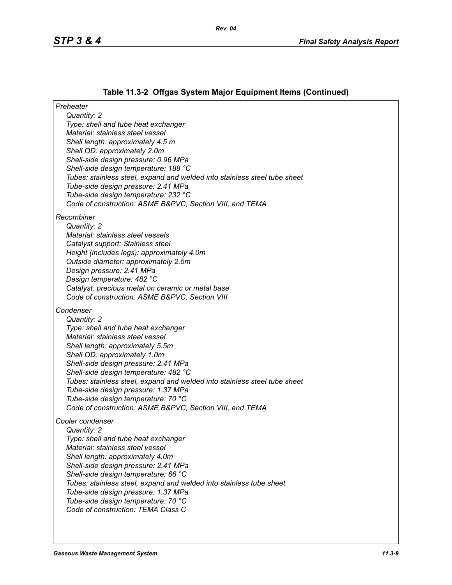# **Table 11.3-2 Offgas System Major Equipment Items (Continued)**

| Preheater                                                                                                  |
|------------------------------------------------------------------------------------------------------------|
| Quantity: 2                                                                                                |
| Type: shell and tube heat exchanger                                                                        |
| Material: stainless steel vessel                                                                           |
| Shell length: approximately 4.5 m<br>Shell OD: approximately 2.0m                                          |
| Shell-side design pressure: 0.96 MPa                                                                       |
| Shell-side design temperature: 188 °C                                                                      |
| Tubes: stainless steel, expand and welded into stainless steel tube sheet                                  |
| Tube-side design pressure: 2.41 MPa                                                                        |
| Tube-side design temperature: 232 °C                                                                       |
| Code of construction: ASME B&PVC, Section VIII, and TEMA                                                   |
| Recombiner                                                                                                 |
| Quantity: 2                                                                                                |
| Material: stainless steel vessels                                                                          |
| Catalyst support: Stainless steel                                                                          |
| Height (includes legs): approximately 4.0m                                                                 |
| Outside diameter: approximately 2.5m                                                                       |
| Design pressure: 2.41 MPa                                                                                  |
| Design temperature: 482 °C                                                                                 |
| Catalyst: precious metal on ceramic or metal base<br>Code of construction: ASME B&PVC, Section VIII        |
|                                                                                                            |
| Condenser                                                                                                  |
| Quantity: 2                                                                                                |
| Type: shell and tube heat exchanger                                                                        |
| Material: stainless steel vessel                                                                           |
| Shell length: approximately 5.5m<br>Shell OD: approximately 1.0m                                           |
| Shell-side design pressure: 2.41 MPa                                                                       |
| Shell-side design temperature: 482 °C                                                                      |
| Tubes: stainless steel, expand and welded into stainless steel tube sheet                                  |
| Tube-side design pressure: 1.37 MPa                                                                        |
| Tube-side design temperature: 70 °C                                                                        |
| Code of construction: ASME B&PVC, Section VIII, and TEMA                                                   |
| Cooler condenser                                                                                           |
| Quantity: 2                                                                                                |
| Type: shell and tube heat exchanger                                                                        |
| Material: stainless steel vessel                                                                           |
| Shell length: approximately 4.0m                                                                           |
| Shell-side design pressure: 2.41 MPa                                                                       |
| Shell-side design temperature: 66 °C                                                                       |
| Tubes: stainless steel, expand and welded into stainless tube sheet<br>Tube-side design pressure: 1.37 MPa |
| Tube-side design temperature: 70 °C                                                                        |
| Code of construction: TEMA Class C                                                                         |
|                                                                                                            |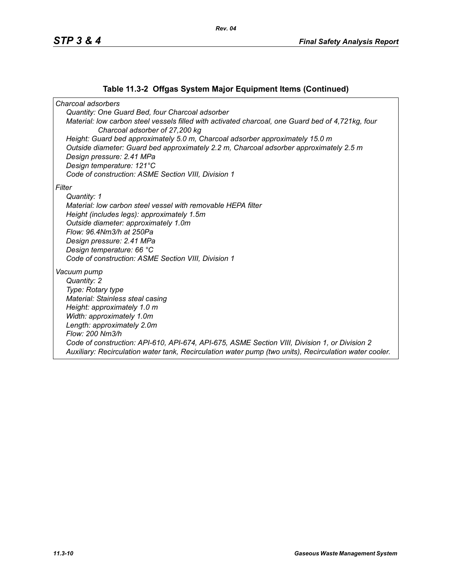### **Table 11.3-2 Offgas System Major Equipment Items (Continued)**

*Charcoal adsorbers Quantity: One Guard Bed, four Charcoal adsorber Material: low carbon steel vessels filled with activated charcoal, one Guard bed of 4,721kg, four Charcoal adsorber of 27,200 kg Height: Guard bed approximately 5.0 m, Charcoal adsorber approximately 15.0 m Outside diameter: Guard bed approximately 2.2 m, Charcoal adsorber approximately 2.5 m Design pressure: 2.41 MPa Design temperature: 121°C Code of construction: ASME Section VIII, Division 1 Filter Quantity: 1 Material: low carbon steel vessel with removable HEPA filter Height (includes legs): approximately 1.5m Outside diameter: approximately 1.0m Flow: 96.4Nm3/h at 250Pa Design pressure: 2.41 MPa Design temperature: 66 °C Code of construction: ASME Section VIII, Division 1 Vacuum pump Quantity: 2 Type: Rotary type Material: Stainless steal casing Height: approximately 1.0 m Width: approximately 1.0m Length: approximately 2.0m Flow: 200 Nm3/h Code of construction: API-610, API-674, API-675, ASME Section VIII, Division 1, or Division 2 Auxiliary: Recirculation water tank, Recirculation water pump (two units), Recirculation water cooler.*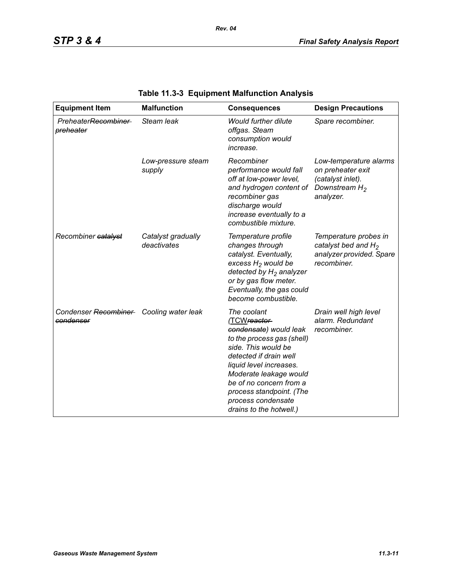| <b>Equipment Item</b>                                | <b>Malfunction</b>                | <b>Consequences</b>                                                                                                                                                                                                                                                                               | <b>Design Precautions</b>                                                                         |
|------------------------------------------------------|-----------------------------------|---------------------------------------------------------------------------------------------------------------------------------------------------------------------------------------------------------------------------------------------------------------------------------------------------|---------------------------------------------------------------------------------------------------|
| PreheaterRecombiner<br>preheater                     | Steam leak                        | <b>Would further dilute</b><br>offgas. Steam<br>consumption would<br>increase.                                                                                                                                                                                                                    | Spare recombiner.                                                                                 |
|                                                      | Low-pressure steam<br>supply      | Recombiner<br>performance would fall<br>off at low-power level,<br>and hydrogen content of<br>recombiner gas<br>discharge would<br>increase eventually to a<br>combustible mixture.                                                                                                               | Low-temperature alarms<br>on preheater exit<br>(catalyst inlet).<br>Downstream $H_2$<br>analyzer. |
| Recombiner catalyst                                  | Catalyst gradually<br>deactivates | Temperature profile<br>changes through<br>catalyst. Eventually,<br>excess $H_2$ would be<br>detected by $H_2$ analyzer<br>or by gas flow meter.<br>Eventually, the gas could<br>become combustible.                                                                                               | Temperature probes in<br>catalyst bed and $H_2$<br>analyzer provided. Spare<br>recombiner.        |
| Condenser Recombiner Cooling water leak<br>condenser |                                   | The coolant<br>(TCWreactor-<br>condensate) would leak<br>to the process gas (shell)<br>side. This would be<br>detected if drain well<br>liquid level increases.<br>Moderate leakage would<br>be of no concern from a<br>process standpoint. (The<br>process condensate<br>drains to the hotwell.) | Drain well high level<br>alarm. Redundant<br>recombiner.                                          |

# **Table 11.3-3 Equipment Malfunction Analysis**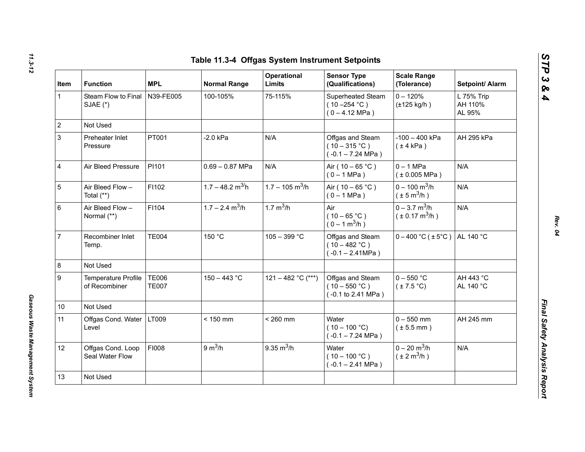| Item         | <b>Function</b>                      | <b>MPL</b>                   | <b>Normal Range</b>            | Operational<br><b>Limits</b>  | <b>Sensor Type</b><br>(Qualifications)                                                    | <b>Scale Range</b><br>(Tolerance)                             | Setpoint/ Alarm                 |
|--------------|--------------------------------------|------------------------------|--------------------------------|-------------------------------|-------------------------------------------------------------------------------------------|---------------------------------------------------------------|---------------------------------|
| $\mathbf{1}$ | Steam Flow to Final<br>SJAE (*)      | N39-FE005                    | 100-105%                       | 75-115%                       | Superheated Steam<br>$(10 - 254 °C)$<br>$(0 - 4.12 \text{ MPa})$                          | $0 - 120%$<br>$(\pm 125$ kg/h)                                | L 75% Trip<br>AH 110%<br>AL 95% |
|              | Not Used                             |                              |                                |                               |                                                                                           |                                                               |                                 |
|              | Preheater Inlet<br>Pressure          | PT001                        | $-2.0$ kPa                     | N/A                           | Offgas and Steam<br>$(10-315 °C)$<br>$(-0.1 - 7.24 \text{ MPa})$                          | $-100 - 400$ kPa<br>$(\pm 4$ kPa)                             | AH 295 kPa                      |
|              | Air Bleed Pressure                   | PI101                        | $0.69 - 0.87$ MPa              | N/A                           | Air ( $10 - 65$ °C)<br>$(0 - 1 MPa)$                                                      | $0 - 1$ MPa<br>$(*0.005 MPa)$                                 | N/A                             |
|              | Air Bleed Flow -<br>Total (**)       | F1102                        | $1.7 - 48.2$ m <sup>3/</sup> h | $1.7 - 105$ m <sup>3</sup> /h | Air ( $10 - 65$ °C)<br>$(0 - 1 MPa)$                                                      | $0 - 100$ m <sup>3</sup> /h<br>$(\pm 5 \text{ m}^3/\text{h})$ | N/A                             |
|              | Air Bleed Flow -<br>Normal (**)      | F1104                        | $1.7 - 2.4$ m <sup>3</sup> /h  | 1.7 $m^3/h$                   | Air<br>$(10 - 65 °C)$<br>$(0 - 1 m^3/h)$                                                  | $0 - 3.7$ m <sup>3</sup> /h<br>$(\pm 0.17 \text{ m}^3/h)$     | N/A                             |
|              | Recombiner Inlet<br>Temp.            | <b>TE004</b>                 | 150 °C                         | $105 - 399 °C$                | Offgas and Steam<br>$(10 - 482 °C)$<br>$(-0.1 - 2.41 MPa)$                                | $0 - 400$ °C ( $\pm 5$ °C)                                    | AL 140 °C                       |
|              | Not Used                             |                              |                                |                               |                                                                                           |                                                               |                                 |
|              | Temperature Profile<br>of Recombiner | <b>TE006</b><br><b>TE007</b> | $150 - 443$ °C                 | 121 - 482 °C (***)            | Offgas and Steam<br>$(10 - 550 °C)$<br>(-0.1 to 2.41 MPa)                                 | $0 - 550$ °C<br>$(\pm 7.5^{\circ}C)$                          | AH 443 °C<br>AL 140 °C          |
| 10           | Not Used                             |                              |                                |                               |                                                                                           |                                                               |                                 |
| 11           | Offgas Cond. Water<br>Level          | LT009                        | $< 150$ mm                     | $< 260$ mm                    | Water<br>$0 - 550$ mm<br>$(10 - 100 °C)$<br>$(\pm 5.5$ mm)<br>$(-0.1 - 7.24 \text{ MPa})$ |                                                               | AH 245 mm                       |
| 12           | Offgas Cond. Loop<br>Seal Water Flow | FI008                        | 9 m <sup>3</sup> /h            | $9.35 \text{ m}^3/h$          | Water<br>$(10 - 100 °C)$<br>$(-0.1 - 2.41$ MPa)                                           | $0 - 20$ m <sup>3</sup> /h<br>$(\pm 2 \text{ m}^3/\text{h})$  | N/A                             |
| 13           | Not Used                             |                              |                                |                               |                                                                                           |                                                               |                                 |

*Gaseous Waste Management System* 

Gaseous Waste Management System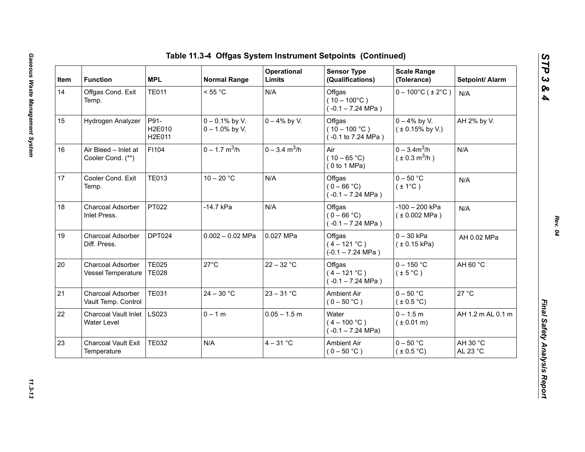| Item | <b>Function</b>                            | <b>MPL</b>                   | <b>Normal Range</b>                    | Operational<br>Limits       | <b>Sensor Type</b><br>(Qualifications)                  | <b>Scale Range</b><br>(Tolerance)           | Setpoint/ Alarm      |
|------|--------------------------------------------|------------------------------|----------------------------------------|-----------------------------|---------------------------------------------------------|---------------------------------------------|----------------------|
| 14   | Offgas Cond. Exit<br>Temp.                 | <b>TE011</b>                 | < 55 °C                                | N/A                         | Offgas<br>$(10 - 100^{\circ}C)$<br>$(-0.1 - 7.24$ MPa)  | $0 - 100^{\circ}$ C (±2°C)                  | N/A                  |
| 15   | Hydrogen Analyzer                          | P91-<br>H2E010<br>H2E011     | $0 - 0.1\%$ by V.<br>$0 - 1.0\%$ by V. | $0 - 4\%$ by V.             | Offgas<br>$(10 - 100 °C)$<br>(-0.1 to 7.24 MPa)         | $0 - 4\%$ by V.<br>$(± 0.15\%$ by V.)       | AH 2% by V.          |
| 16   | Air Bleed - Inlet at<br>Cooler Cond. (**)  | F1104                        | $0 - 1.7$ m <sup>3</sup> /h            | $0 - 3.4$ m <sup>3</sup> /h | Air<br>$(10 - 65 °C)$<br>(0 to 1 MPa)                   | $0 - 3.4m^3/h$<br>$(\pm 0.3 \text{ m}^3/h)$ | N/A                  |
| 17   | Cooler Cond. Exit<br>Temp.                 | <b>TE013</b>                 | $10 - 20 °C$                           | N/A                         | Offgas<br>$(0 - 66 °C)$<br>$(-0.1 - 7.24$ MPa)          | $0 - 50$ °C<br>$(\pm 1^{\circ}C)$           | N/A                  |
| 18   | Charcoal Adsorber<br>Inlet Press.          | PT022                        | -14.7 kPa                              | N/A                         | Offgas<br>$(0 - 66 °C)$<br>$(-0.1 - 7.24 \text{ MPa})$  | $-100 - 200$ kPa<br>(± 0.002 MPa)           | N/A                  |
| 19   | Charcoal Adsorber<br>Diff. Press.          | DPT024                       | $0.002 - 0.02$ MPa                     | 0.027 MPa                   | Offgas<br>$(4 - 121 °C)$<br>$(-0.1 - 7.24 \text{ MPa})$ | $0 - 30$ kPa<br>(± 0.15 kPa)                | AH 0.02 MPa          |
| 20   | Charcoal Adsorber<br>Vessel Temperature    | <b>TE025</b><br><b>TE028</b> | $27^{\circ}$ C                         | $22 - 32 °C$                | Offgas<br>$(4 - 121 °C)$<br>$(-0.1 - 7.24$ MPa)         | $0 - 150$ °C<br>$(\pm 5^{\circ}C)$          | AH 60 °C             |
| 21   | Charcoal Adsorber<br>Vault Temp. Control   | <b>TE031</b>                 | $24 - 30 °C$                           | $23 - 31 °C$                | <b>Ambient Air</b><br>$(0 - 50 °C)$                     | $0 - 50$ °C<br>(± 0.5 °C)                   | 27 °C                |
| 22   | <b>Charcoal Vault Inlet</b><br>Water Level | LS023                        | $0 - 1 m$                              | $0.05 - 1.5$ m              | Water<br>$(4 - 100 °C)$<br>$(-0.1 - 7.24 \text{ MPa})$  | $0 - 1.5 m$<br>$(* 0.01 m)$                 | AH 1.2 m AL 0.1 m    |
| 23   | <b>Charcoal Vault Exit</b><br>Temperature  | <b>TE032</b>                 | N/A                                    | $4 - 31$ °C                 | Ambient Air<br>$(0 - 50 °C)$                            | $0 - 50$ °C<br>$(\pm 0.5^{\circ}C)$         | AH 30 °C<br>AL 23 °C |

*STP 3 & 4*

11.3-13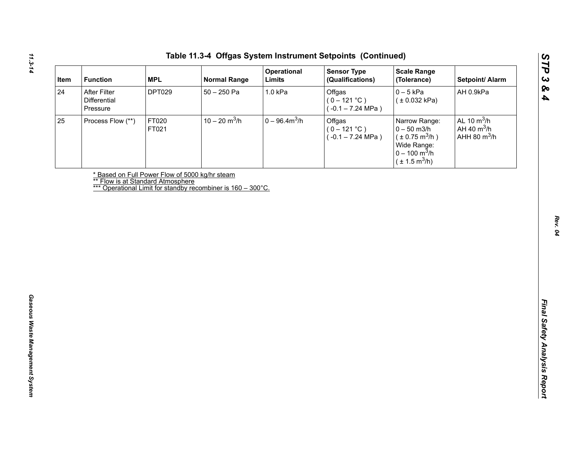| After Filter<br><b>DPT029</b><br>$50 - 250$ Pa<br>1.0 kPa<br>Offgas<br>$0-5$ kPa<br>AH 0.9kPa<br>Differential<br>$(0 - 121 °C)$<br>(± 0.032 kPa)<br>$(-0.1 - 7.24 \text{ MPa})$<br>Pressure<br>$10 - 20$ m <sup>3</sup> /h<br>$0 - 96.4 m3/h$<br>AL 10 $m^3/h$<br>FT020<br>Offgas<br>Process Flow (**)<br>Narrow Range:<br>AH 40 $m^3/h$<br>$(0 - 121 °C)$<br>$0 - 50$ m3/h<br>FT021<br>AHH 80 $m^3/h$<br>$(\pm 0.75 \text{ m}^3/h)$<br>$(-0.1 - 7.24 \text{ MPa})$<br>Wide Range:<br>$0 - 100 \text{ m}^3/h$<br>$(\pm 1.5 \text{ m}^3/h)$<br>* Based on Full Power Flow of 5000 kg/hr steam<br><b>** Flow is at Standard Atmosphere</b><br>*** Operational Limit for standby recombiner is 160 - 300°C. |    | <b>MPL</b><br><b>Function</b> | <b>Normal Range</b> | Operational<br>Limits | <b>Sensor Type</b><br>(Qualifications) | <b>Scale Range</b><br>(Tolerance) | Setpoint/ Alarm |
|----------------------------------------------------------------------------------------------------------------------------------------------------------------------------------------------------------------------------------------------------------------------------------------------------------------------------------------------------------------------------------------------------------------------------------------------------------------------------------------------------------------------------------------------------------------------------------------------------------------------------------------------------------------------------------------------------------|----|-------------------------------|---------------------|-----------------------|----------------------------------------|-----------------------------------|-----------------|
|                                                                                                                                                                                                                                                                                                                                                                                                                                                                                                                                                                                                                                                                                                          | 24 |                               |                     |                       |                                        |                                   |                 |
|                                                                                                                                                                                                                                                                                                                                                                                                                                                                                                                                                                                                                                                                                                          | 25 |                               |                     |                       |                                        |                                   |                 |
|                                                                                                                                                                                                                                                                                                                                                                                                                                                                                                                                                                                                                                                                                                          |    |                               |                     |                       |                                        |                                   |                 |
|                                                                                                                                                                                                                                                                                                                                                                                                                                                                                                                                                                                                                                                                                                          |    |                               |                     |                       |                                        |                                   |                 |
|                                                                                                                                                                                                                                                                                                                                                                                                                                                                                                                                                                                                                                                                                                          |    |                               |                     |                       |                                        |                                   |                 |
|                                                                                                                                                                                                                                                                                                                                                                                                                                                                                                                                                                                                                                                                                                          |    |                               |                     |                       |                                        |                                   |                 |
|                                                                                                                                                                                                                                                                                                                                                                                                                                                                                                                                                                                                                                                                                                          |    |                               |                     |                       |                                        |                                   |                 |
|                                                                                                                                                                                                                                                                                                                                                                                                                                                                                                                                                                                                                                                                                                          |    |                               |                     |                       |                                        |                                   |                 |
|                                                                                                                                                                                                                                                                                                                                                                                                                                                                                                                                                                                                                                                                                                          |    |                               |                     |                       |                                        |                                   |                 |
|                                                                                                                                                                                                                                                                                                                                                                                                                                                                                                                                                                                                                                                                                                          |    |                               |                     |                       |                                        |                                   |                 |
|                                                                                                                                                                                                                                                                                                                                                                                                                                                                                                                                                                                                                                                                                                          |    |                               |                     |                       |                                        |                                   |                 |
|                                                                                                                                                                                                                                                                                                                                                                                                                                                                                                                                                                                                                                                                                                          |    |                               |                     |                       |                                        |                                   |                 |
|                                                                                                                                                                                                                                                                                                                                                                                                                                                                                                                                                                                                                                                                                                          |    |                               |                     |                       |                                        |                                   |                 |
|                                                                                                                                                                                                                                                                                                                                                                                                                                                                                                                                                                                                                                                                                                          |    |                               |                     |                       |                                        |                                   |                 |
|                                                                                                                                                                                                                                                                                                                                                                                                                                                                                                                                                                                                                                                                                                          |    |                               |                     |                       |                                        |                                   |                 |
|                                                                                                                                                                                                                                                                                                                                                                                                                                                                                                                                                                                                                                                                                                          |    |                               |                     |                       |                                        |                                   |                 |
|                                                                                                                                                                                                                                                                                                                                                                                                                                                                                                                                                                                                                                                                                                          |    |                               |                     |                       |                                        |                                   |                 |
|                                                                                                                                                                                                                                                                                                                                                                                                                                                                                                                                                                                                                                                                                                          |    |                               |                     |                       |                                        |                                   |                 |
|                                                                                                                                                                                                                                                                                                                                                                                                                                                                                                                                                                                                                                                                                                          |    |                               |                     |                       |                                        |                                   |                 |
|                                                                                                                                                                                                                                                                                                                                                                                                                                                                                                                                                                                                                                                                                                          |    |                               |                     |                       |                                        |                                   |                 |
|                                                                                                                                                                                                                                                                                                                                                                                                                                                                                                                                                                                                                                                                                                          |    |                               |                     |                       |                                        |                                   |                 |
|                                                                                                                                                                                                                                                                                                                                                                                                                                                                                                                                                                                                                                                                                                          |    |                               |                     |                       |                                        |                                   |                 |
|                                                                                                                                                                                                                                                                                                                                                                                                                                                                                                                                                                                                                                                                                                          |    |                               |                     |                       |                                        |                                   |                 |

*STP 3 & 4*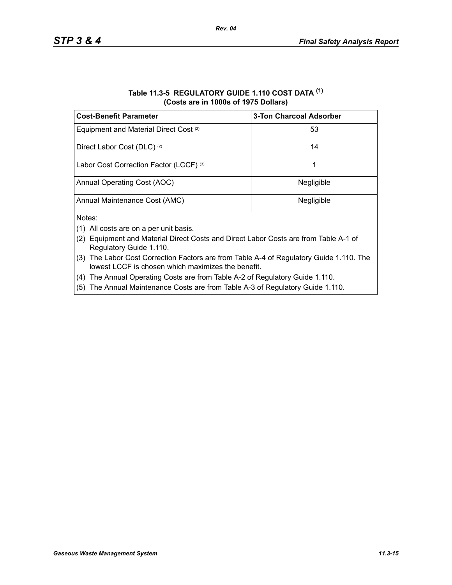| Table 11.3-5 REGULATORY GUIDE 1.110 COST DATA (1) |
|---------------------------------------------------|
| (Costs are in 1000s of 1975 Dollars)              |

| <b>Cost-Benefit Parameter</b>                     | <b>3-Ton Charcoal Adsorber</b> |
|---------------------------------------------------|--------------------------------|
| Equipment and Material Direct Cost <sup>(2)</sup> | 53                             |
| Direct Labor Cost (DLC) <sup>(2)</sup>            | 14                             |
| Labor Cost Correction Factor (LCCF) (3)           |                                |
| Annual Operating Cost (AOC)                       | Negligible                     |
| Annual Maintenance Cost (AMC)                     | Negligible                     |
| Notes:                                            |                                |

- (1) All costs are on a per unit basis.
- (2) Equipment and Material Direct Costs and Direct Labor Costs are from Table A-1 of Regulatory Guide 1.110.
- (3) The Labor Cost Correction Factors are from Table A-4 of Regulatory Guide 1.110. The lowest LCCF is chosen which maximizes the benefit.
- (4) The Annual Operating Costs are from Table A-2 of Regulatory Guide 1.110.
- (5) The Annual Maintenance Costs are from Table A-3 of Regulatory Guide 1.110.